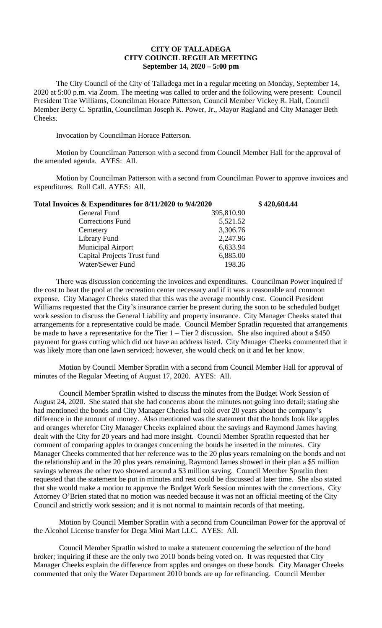## **CITY OF TALLADEGA CITY COUNCIL REGULAR MEETING September 14, 2020 – 5:00 pm**

The City Council of the City of Talladega met in a regular meeting on Monday, September 14, 2020 at 5:00 p.m. via Zoom. The meeting was called to order and the following were present: Council President Trae Williams, Councilman Horace Patterson, Council Member Vickey R. Hall, Council Member Betty C. Spratlin, Councilman Joseph K. Power, Jr., Mayor Ragland and City Manager Beth Cheeks.

Invocation by Councilman Horace Patterson.

Motion by Councilman Patterson with a second from Council Member Hall for the approval of the amended agenda. AYES: All.

Motion by Councilman Patterson with a second from Councilman Power to approve invoices and expenditures. Roll Call. AYES: All.

| Total Invoices & Expenditures for 8/11/2020 to 9/4/2020 |            | \$420,604.44 |
|---------------------------------------------------------|------------|--------------|
| General Fund                                            | 395,810.90 |              |
| <b>Corrections Fund</b>                                 | 5,521.52   |              |
| Cemetery                                                | 3,306.76   |              |
| Library Fund                                            | 2,247.96   |              |
| <b>Municipal Airport</b>                                | 6,633.94   |              |
| Capital Projects Trust fund                             | 6,885.00   |              |
| Water/Sewer Fund                                        | 198.36     |              |

There was discussion concerning the invoices and expenditures. Councilman Power inquired if the cost to heat the pool at the recreation center necessary and if it was a reasonable and common expense. City Manager Cheeks stated that this was the average monthly cost. Council President Williams requested that the City's insurance carrier be present during the soon to be scheduled budget work session to discuss the General Liability and property insurance. City Manager Cheeks stated that arrangements for a representative could be made. Council Member Spratlin requested that arrangements be made to have a representative for the Tier  $1 -$ Tier 2 discussion. She also inquired about a \$450 payment for grass cutting which did not have an address listed. City Manager Cheeks commented that it was likely more than one lawn serviced; however, she would check on it and let her know.

Motion by Council Member Spratlin with a second from Council Member Hall for approval of minutes of the Regular Meeting of August 17, 2020. AYES: All.

Council Member Spratlin wished to discuss the minutes from the Budget Work Session of August 24, 2020. She stated that she had concerns about the minutes not going into detail; stating she had mentioned the bonds and City Manager Cheeks had told over 20 years about the company's difference in the amount of money. Also mentioned was the statement that the bonds look like apples and oranges wherefor City Manager Cheeks explained about the savings and Raymond James having dealt with the City for 20 years and had more insight. Council Member Spratlin requested that her comment of comparing apples to oranges concerning the bonds be inserted in the minutes. City Manager Cheeks commented that her reference was to the 20 plus years remaining on the bonds and not the relationship and in the 20 plus years remaining, Raymond James showed in their plan a \$5 million savings whereas the other two showed around a \$3 million saving. Council Member Spratlin then requested that the statement be put in minutes and rest could be discussed at later time. She also stated that she would make a motion to approve the Budget Work Session minutes with the corrections. City Attorney O'Brien stated that no motion was needed because it was not an official meeting of the City Council and strictly work session; and it is not normal to maintain records of that meeting.

Motion by Council Member Spratlin with a second from Councilman Power for the approval of the Alcohol License transfer for Dega Mini Mart LLC. AYES: All.

Council Member Spratlin wished to make a statement concerning the selection of the bond broker; inquiring if these are the only two 2010 bonds being voted on. It was requested that City Manager Cheeks explain the difference from apples and oranges on these bonds. City Manager Cheeks commented that only the Water Department 2010 bonds are up for refinancing. Council Member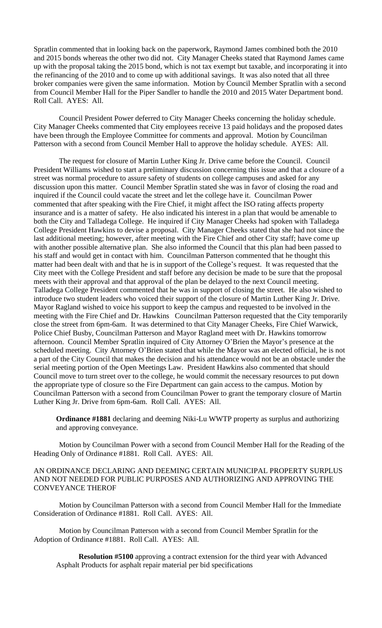Spratlin commented that in looking back on the paperwork, Raymond James combined both the 2010 and 2015 bonds whereas the other two did not. City Manager Cheeks stated that Raymond James came up with the proposal taking the 2015 bond, which is not tax exempt but taxable, and incorporating it into the refinancing of the 2010 and to come up with additional savings. It was also noted that all three broker companies were given the same information. Motion by Council Member Spratlin with a second from Council Member Hall for the Piper Sandler to handle the 2010 and 2015 Water Department bond. Roll Call. AYES: All.

Council President Power deferred to City Manager Cheeks concerning the holiday schedule. City Manager Cheeks commented that City employees receive 13 paid holidays and the proposed dates have been through the Employee Committee for comments and approval. Motion by Councilman Patterson with a second from Council Member Hall to approve the holiday schedule. AYES: All.

The request for closure of Martin Luther King Jr. Drive came before the Council. Council President Williams wished to start a preliminary discussion concerning this issue and that a closure of a street was normal procedure to assure safety of students on college campuses and asked for any discussion upon this matter. Council Member Spratlin stated she was in favor of closing the road and inquired if the Council could vacate the street and let the college have it. Councilman Power commented that after speaking with the Fire Chief, it might affect the ISO rating affects property insurance and is a matter of safety. He also indicated his interest in a plan that would be amenable to both the City and Talladega College. He inquired if City Manager Cheeks had spoken with Talladega College President Hawkins to devise a proposal. City Manager Cheeks stated that she had not since the last additional meeting; however, after meeting with the Fire Chief and other City staff; have come up with another possible alternative plan. She also informed the Council that this plan had been passed to his staff and would get in contact with him. Councilman Patterson commented that he thought this matter had been dealt with and that he is in support of the College's request. It was requested that the City meet with the College President and staff before any decision be made to be sure that the proposal meets with their approval and that approval of the plan be delayed to the next Council meeting. Talladega College President commented that he was in support of closing the street. He also wished to introduce two student leaders who voiced their support of the closure of Martin Luther King Jr. Drive. Mayor Ragland wished to voice his support to keep the campus and requested to be involved in the meeting with the Fire Chief and Dr. Hawkins Councilman Patterson requested that the City temporarily close the street from 6pm-6am. It was determined to that City Manager Cheeks, Fire Chief Warwick, Police Chief Busby, Councilman Patterson and Mayor Ragland meet with Dr. Hawkins tomorrow afternoon. Council Member Spratlin inquired of City Attorney O'Brien the Mayor's presence at the scheduled meeting. City Attorney O'Brien stated that while the Mayor was an elected official, he is not a part of the City Council that makes the decision and his attendance would not be an obstacle under the serial meeting portion of the Open Meetings Law. President Hawkins also commented that should Council move to turn street over to the college, he would commit the necessary resources to put down the appropriate type of closure so the Fire Department can gain access to the campus. Motion by Councilman Patterson with a second from Councilman Power to grant the temporary closure of Martin Luther King Jr. Drive from 6pm-6am. Roll Call. AYES: All.

**Ordinance #1881** declaring and deeming Niki-Lu WWTP property as surplus and authorizing and approving conveyance.

Motion by Councilman Power with a second from Council Member Hall for the Reading of the Heading Only of Ordinance #1881. Roll Call. AYES: All.

AN ORDINANCE DECLARING AND DEEMING CERTAIN MUNICIPAL PROPERTY SURPLUS AND NOT NEEDED FOR PUBLIC PURPOSES AND AUTHORIZING AND APPROVING THE CONVEYANCE THEROF

Motion by Councilman Patterson with a second from Council Member Hall for the Immediate Consideration of Ordinance #1881. Roll Call. AYES: All.

Motion by Councilman Patterson with a second from Council Member Spratlin for the Adoption of Ordinance #1881. Roll Call. AYES: All.

**Resolution #5100** approving a contract extension for the third year with Advanced Asphalt Products for asphalt repair material per bid specifications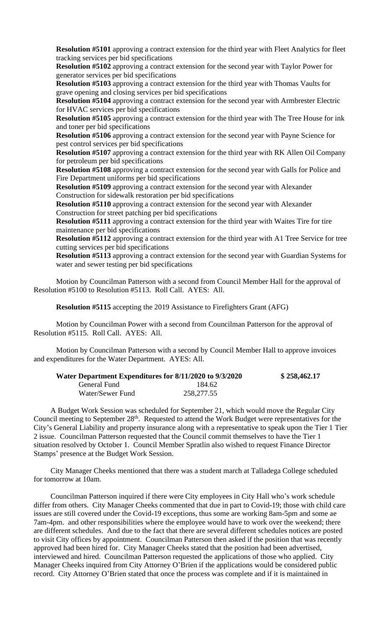**Resolution #5101** approving a contract extension for the third year with Fleet Analytics for fleet tracking services per bid specifications

**Resolution #5102** approving a contract extension for the second year with Taylor Power for generator services per bid specifications

**Resolution #5103** approving a contract extension for the third year with Thomas Vaults for grave opening and closing services per bid specifications

**Resolution #5104** approving a contract extension for the second year with Armbrester Electric for HVAC services per bid specifications

**Resolution #5105** approving a contract extension for the third year with The Tree House for ink and toner per bid specifications

**Resolution #5106** approving a contract extension for the second year with Payne Science for pest control services per bid specifications

**Resolution #5107** approving a contract extension for the third year with RK Allen Oil Company for petroleum per bid specifications

**Resolution #5108** approving a contract extension for the second year with Galls for Police and Fire Department uniforms per bid specifications

**Resolution #5109** approving a contract extension for the second year with Alexander Construction for sidewalk restoration per bid specifications

**Resolution #5110** approving a contract extension for the second year with Alexander Construction for street patching per bid specifications

**Resolution #5111** approving a contract extension for the third year with Waites Tire for tire maintenance per bid specifications

**Resolution #5112** approving a contract extension for the third year with A1 Tree Service for tree cutting services per bid specifications

**Resolution #5113** approving a contract extension for the second year with Guardian Systems for water and sewer testing per bid specifications

Motion by Councilman Patterson with a second from Council Member Hall for the approval of Resolution #5100 to Resolution #5113. Roll Call. AYES: All.

**Resolution #5115** accepting the 2019 Assistance to Firefighters Grant (AFG)

Motion by Councilman Power with a second from Councilman Patterson for the approval of Resolution #5115. Roll Call. AYES: All.

Motion by Councilman Patterson with a second by Council Member Hall to approve invoices and expenditures for the Water Department. AYES: All.

| Water Department Expenditures for 8/11/2020 to 9/3/2020 |            | \$258,462.17 |
|---------------------------------------------------------|------------|--------------|
| General Fund                                            | 184.62     |              |
| Water/Sewer Fund                                        | 258,277.55 |              |

A Budget Work Session was scheduled for September 21, which would move the Regular City Council meeting to September 28<sup>th</sup>. Requested to attend the Work Budget were representatives for the City's General Liability and property insurance along with a representative to speak upon the Tier 1 Tier 2 issue. Councilman Patterson requested that the Council commit themselves to have the Tier 1 situation resolved by October 1. Council Member Spratlin also wished to request Finance Director Stamps' presence at the Budget Work Session.

City Manager Cheeks mentioned that there was a student march at Talladega College scheduled for tomorrow at 10am.

Councilman Patterson inquired if there were City employees in City Hall who's work schedule differ from others. City Manager Cheeks commented that due in part to Covid-19; those with child care issues are still covered under the Covid-19 exceptions, thus some are working 8am-5pm and some ae 7am-4pm. and other responsibilities where the employee would have to work over the weekend; there are different schedules. And due to the fact that there are several different schedules notices are posted to visit City offices by appointment. Councilman Patterson then asked if the position that was recently approved had been hired for. City Manager Cheeks stated that the position had been advertised, interviewed and hired. Councilman Patterson requested the applications of those who applied. City Manager Cheeks inquired from City Attorney O'Brien if the applications would be considered public record. City Attorney O'Brien stated that once the process was complete and if it is maintained in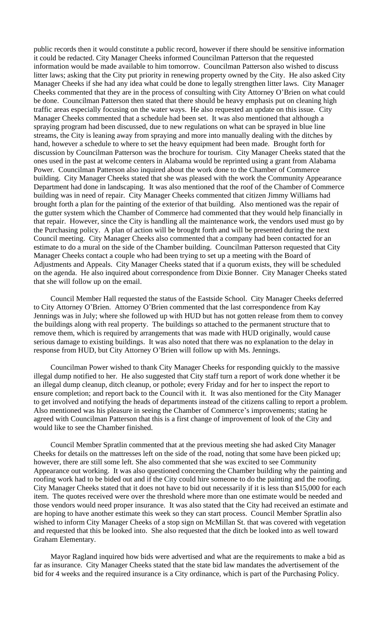public records then it would constitute a public record, however if there should be sensitive information it could be redacted. City Manager Cheeks informed Councilman Patterson that the requested information would be made available to him tomorrow. Councilman Patterson also wished to discuss litter laws; asking that the City put priority in renewing property owned by the City. He also asked City Manager Cheeks if she had any idea what could be done to legally strengthen litter laws. City Manager Cheeks commented that they are in the process of consulting with City Attorney O'Brien on what could be done. Councilman Patterson then stated that there should be heavy emphasis put on cleaning high traffic areas especially focusing on the water ways. He also requested an update on this issue. City Manager Cheeks commented that a schedule had been set. It was also mentioned that although a spraying program had been discussed, due to new regulations on what can be sprayed in blue line streams, the City is leaning away from spraying and more into manually dealing with the ditches by hand, however a schedule to where to set the heavy equipment had been made. Brought forth for discussion by Councilman Patterson was the brochure for tourism. City Manager Cheeks stated that the ones used in the past at welcome centers in Alabama would be reprinted using a grant from Alabama Power. Councilman Patterson also inquired about the work done to the Chamber of Commerce building. City Manager Cheeks stated that she was pleased with the work the Community Appearance Department had done in landscaping. It was also mentioned that the roof of the Chamber of Commerce building was in need of repair. City Manager Cheeks commented that citizen Jimmy Williams had brought forth a plan for the painting of the exterior of that building. Also mentioned was the repair of the gutter system which the Chamber of Commerce had commented that they would help financially in that repair. However, since the City is handling all the maintenance work, the vendors used must go by the Purchasing policy. A plan of action will be brought forth and will be presented during the next Council meeting. City Manager Cheeks also commented that a company had been contacted for an estimate to do a mural on the side of the Chamber building. Councilman Patterson requested that City Manager Cheeks contact a couple who had been trying to set up a meeting with the Board of Adjustments and Appeals. City Manager Cheeks stated that if a quorum exists, they will be scheduled on the agenda. He also inquired about correspondence from Dixie Bonner. City Manager Cheeks stated that she will follow up on the email.

Council Member Hall requested the status of the Eastside School. City Manager Cheeks deferred to City Attorney O'Brien. Attorney O'Brien commented that the last correspondence from Kay Jennings was in July; where she followed up with HUD but has not gotten release from them to convey the buildings along with real property. The buildings so attached to the permanent structure that to remove them, which is required by arrangements that was made with HUD originally, would cause serious damage to existing buildings. It was also noted that there was no explanation to the delay in response from HUD, but City Attorney O'Brien will follow up with Ms. Jennings.

Councilman Power wished to thank City Manager Cheeks for responding quickly to the massive illegal dump notified to her. He also suggested that City staff turn a report of work done whether it be an illegal dump cleanup, ditch cleanup, or pothole; every Friday and for her to inspect the report to ensure completion; and report back to the Council with it. It was also mentioned for the City Manager to get involved and notifying the heads of departments instead of the citizens calling to report a problem. Also mentioned was his pleasure in seeing the Chamber of Commerce's improvements; stating he agreed with Councilman Patterson that this is a first change of improvement of look of the City and would like to see the Chamber finished.

Council Member Spratlin commented that at the previous meeting she had asked City Manager Cheeks for details on the mattresses left on the side of the road, noting that some have been picked up; however, there are still some left. She also commented that she was excited to see Community Appearance out working. It was also questioned concerning the Chamber building why the painting and roofing work had to be bided out and if the City could hire someone to do the painting and the roofing. City Manager Cheeks stated that it does not have to bid out necessarily if it is less than \$15,000 for each item. The quotes received were over the threshold where more than one estimate would be needed and those vendors would need proper insurance. It was also stated that the City had received an estimate and are hoping to have another estimate this week so they can start process. Council Member Spratlin also wished to inform City Manager Cheeks of a stop sign on McMillan St. that was covered with vegetation and requested that this be looked into. She also requested that the ditch be looked into as well toward Graham Elementary.

Mayor Ragland inquired how bids were advertised and what are the requirements to make a bid as far as insurance. City Manager Cheeks stated that the state bid law mandates the advertisement of the bid for 4 weeks and the required insurance is a City ordinance, which is part of the Purchasing Policy.